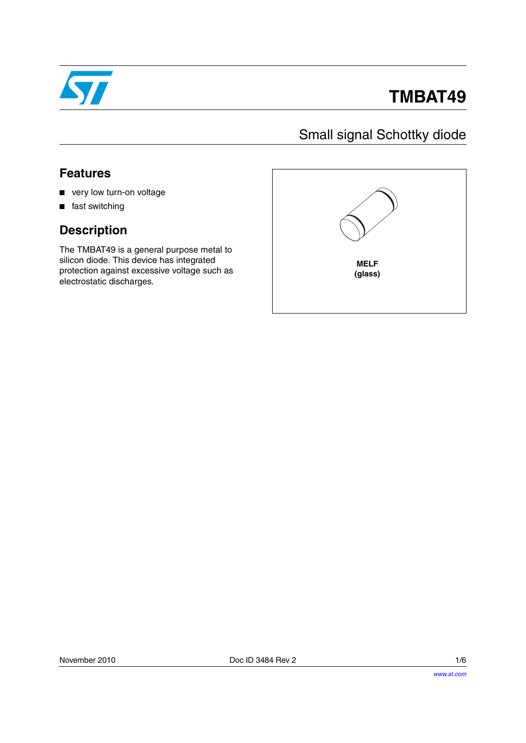

# **TMBAT49**

### Small signal Schottky diode

### **Features**

- very low turn-on voltage
- fast switching

### **Description**

The TMBAT49 is a general purpose metal to silicon diode. This device has integrated protection against excessive voltage such as electrostatic discharges.

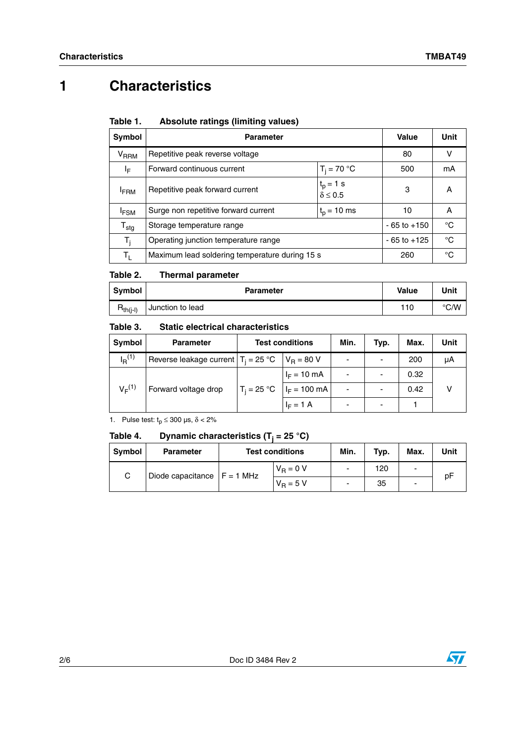## <span id="page-1-0"></span>**1 Characteristics**

| Symbol                      | <b>Parameter</b>                               | Value           | Unit |
|-----------------------------|------------------------------------------------|-----------------|------|
| V <sub>RRM</sub>            | Repetitive peak reverse voltage                | 80              | v    |
| IF.                         | Forward continuous current                     | 500             | mA   |
| <b>FRM</b>                  | Repetitive peak forward current                | 3               | A    |
| <sup>I</sup> FSM            | Surge non repetitive forward current           | 10              | A    |
| $\mathsf{T}_{\textsf{stg}}$ | Storage temperature range                      | $-65$ to $+150$ | °C   |
| T,                          | Operating junction temperature range           | $-65$ to $+125$ | °C   |
| Tı.                         | Maximum lead soldering temperature during 15 s | 260             | °C   |

#### Table 1. **Table 1. Absolute ratings (limiting values)**

#### Table 2. **Thermal parameter**

| Symbol        | <b>Parameter</b> | Value | Unit |
|---------------|------------------|-------|------|
| $R_{th(i-l)}$ | Junction to lead | 110   | °C/W |

#### Table 3. **Static electrical characteristics**

| Symbol            | <b>Parameter</b>                      | <b>Test conditions</b> |                | Min.                     | Typ. | Max. | Unit |
|-------------------|---------------------------------------|------------------------|----------------|--------------------------|------|------|------|
| $I_{\rm R}^{(1)}$ | Reverse leakage current $T_i = 25 °C$ |                        | $V_R = 80 V$   |                          |      | 200  | μA   |
| $V_F^{(1)}$       | Forward voltage drop                  | $T_i = 25 °C$          | $I_F = 10$ mA  |                          |      | 0.32 |      |
|                   |                                       |                        | $I_F = 100$ mA | $\overline{\phantom{0}}$ |      | 0.42 |      |
|                   |                                       |                        | $I_F = 1 A$    |                          |      |      |      |

1. Pulse test:  $t_p \le 300 \text{ }\mu\text{s}, \delta < 2\%$ 

#### Table 4. **Table 4. Dynamic characteristics (Tj = 25 °C)**

| <b>Symbol</b> | <b>Parameter</b>               | <b>Test conditions</b> |             | Min. | Typ. | Max. | Unit |
|---------------|--------------------------------|------------------------|-------------|------|------|------|------|
| ⌒             | Diode capacitance $ F = 1$ MHz |                        | $V_B = 0 V$ |      | 120  | -    | рF   |
|               |                                |                        | $V_B = 5 V$ |      | 35   | -    |      |

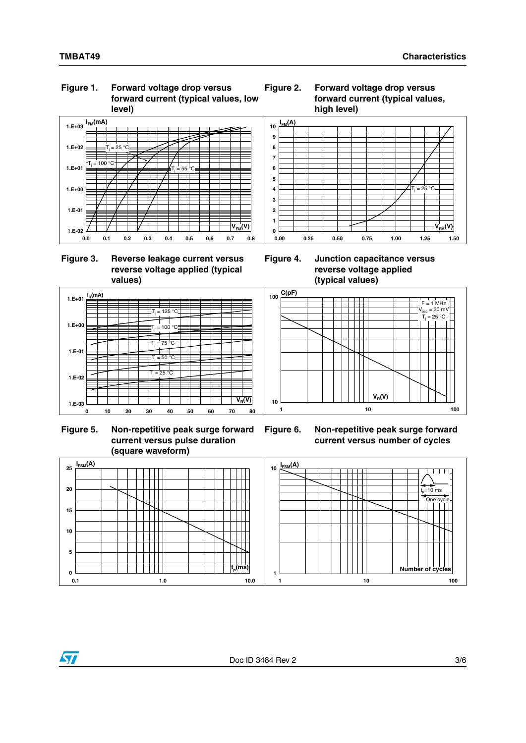### **Figure 1. Forward voltage drop versus forward current (typical values, low level)**







 **Figure 5. Non-repetitive peak surge forward current versus pulse duration (square waveform)**





**Figure 4. Junction capacitance versus reverse voltage applied (typical values)**



**Figure 6. Non-repetitive peak surge forward current versus number of cycles**



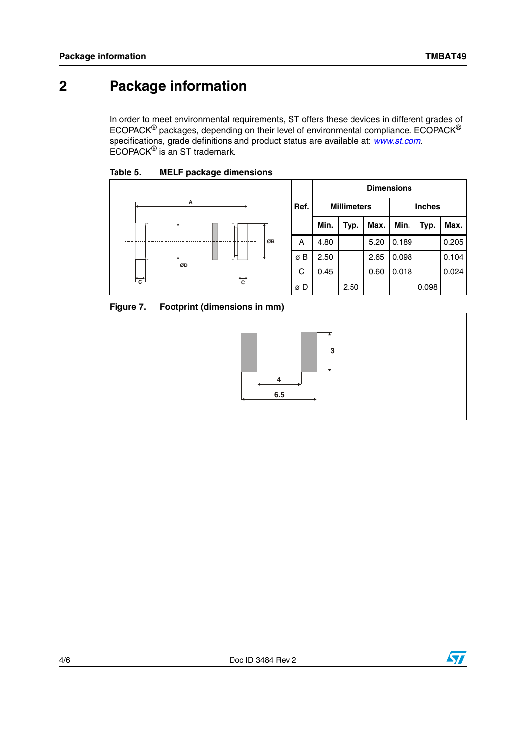### **2 Package information**

In order to meet environmental requirements, ST offers these devices in different grades of ECOPACK® packages, depending on their level of environmental compliance. ECOPACK® specifications, grade definitions and product status are available at: *[www.st.com](http://www.st.com)*. ECOPACK® is an ST trademark.

Table 5. **MELF package dimensions** 



|      |                    |      |      | <b>Dimensions</b> |       |       |
|------|--------------------|------|------|-------------------|-------|-------|
| Ref. | <b>Millimeters</b> |      |      | <b>Inches</b>     |       |       |
|      | Min.               | Typ. | Max. | Min.              | Typ.  | Max.  |
| Α    | 4.80               |      | 5.20 | 0.189             |       | 0.205 |
| øΒ   | 2.50               |      | 2.65 | 0.098             |       | 0.104 |
| C    | 0.45               |      | 0.60 | 0.018             |       | 0.024 |
| øD   |                    | 2.50 |      |                   | 0.098 |       |

**Figure 7. Footprint (dimensions in mm)**



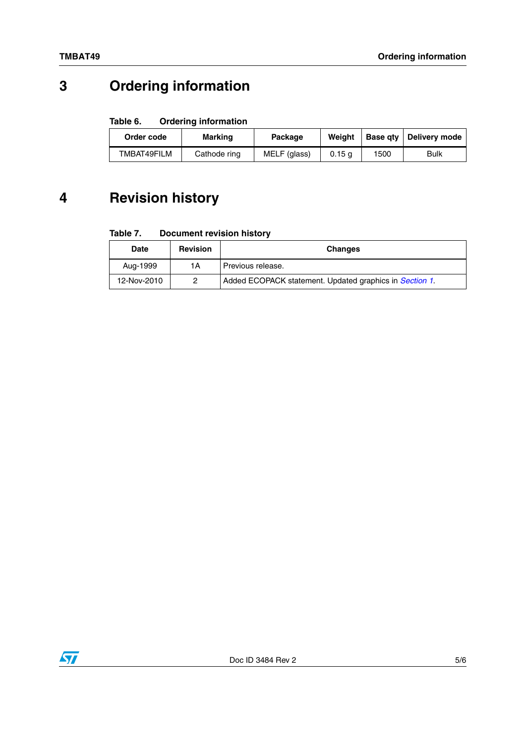## **3 Ordering information**

#### Table 6. **Ordering information**

| Order code  | <b>Marking</b> |              | Weiaht | <b>Base atv</b> | Delivery mode |
|-------------|----------------|--------------|--------|-----------------|---------------|
| TMBAT49FILM | Cathode ring   | MELF (glass) | 0.15a  | 1500            | Bulk          |

### **4 Revision history**

#### Table 7. **Document revision history**

| <b>Revision</b><br>Date |    | <b>Changes</b>                                          |
|-------------------------|----|---------------------------------------------------------|
| Aug-1999                | 1Α | Previous release.                                       |
| 12-Nov-2010             |    | Added ECOPACK statement. Updated graphics in Section 1. |